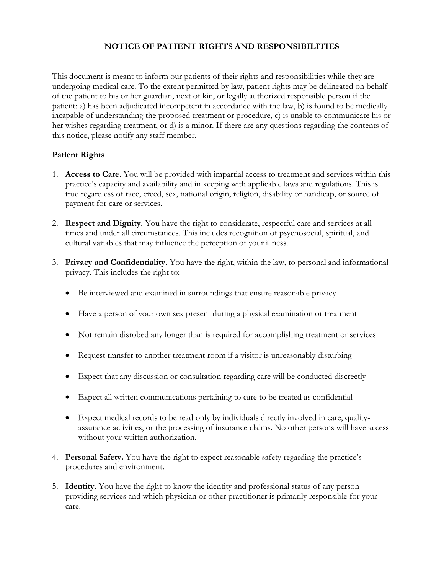## **NOTICE OF PATIENT RIGHTS AND RESPONSIBILITIES**

This document is meant to inform our patients of their rights and responsibilities while they are undergoing medical care. To the extent permitted by law, patient rights may be delineated on behalf of the patient to his or her guardian, next of kin, or legally authorized responsible person if the patient: a) has been adjudicated incompetent in accordance with the law, b) is found to be medically incapable of understanding the proposed treatment or procedure, c) is unable to communicate his or her wishes regarding treatment, or d) is a minor. If there are any questions regarding the contents of this notice, please notify any staff member.

## **Patient Rights**

- 1. **Access to Care.** You will be provided with impartial access to treatment and services within this practice's capacity and availability and in keeping with applicable laws and regulations. This is true regardless of race, creed, sex, national origin, religion, disability or handicap, or source of payment for care or services.
- 2. **Respect and Dignity.** You have the right to considerate, respectful care and services at all times and under all circumstances. This includes recognition of psychosocial, spiritual, and cultural variables that may influence the perception of your illness.
- 3. **Privacy and Confidentiality.** You have the right, within the law, to personal and informational privacy. This includes the right to:
	- Be interviewed and examined in surroundings that ensure reasonable privacy
	- Have a person of your own sex present during a physical examination or treatment
	- Not remain disrobed any longer than is required for accomplishing treatment or services
	- Request transfer to another treatment room if a visitor is unreasonably disturbing
	- Expect that any discussion or consultation regarding care will be conducted discreetly
	- Expect all written communications pertaining to care to be treated as confidential
	- Expect medical records to be read only by individuals directly involved in care, qualityassurance activities, or the processing of insurance claims. No other persons will have access without your written authorization.
- 4. **Personal Safety.** You have the right to expect reasonable safety regarding the practice's procedures and environment.
- 5. **Identity.** You have the right to know the identity and professional status of any person providing services and which physician or other practitioner is primarily responsible for your care.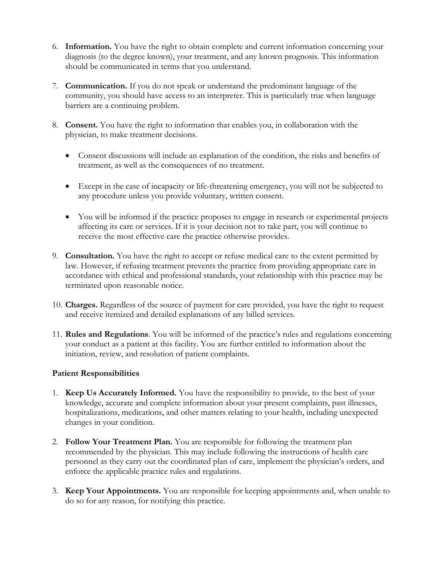- 6. **Information.** You have the right to obtain complete and current information concerning your diagnosis (to the degree known), your treatment, and any known prognosis. This information should be communicated in terms that you understand.
- 7. **Communication.** If you do not speak or understand the predominant language of the community, you should have access to an interpreter. This is particularly true when language barriers are a continuing problem.
- 8. **Consent.** You have the right to information that enables you, in collaboration with the physician, to make treatment decisions.
	- Consent discussions will include an explanation of the condition, the risks and benefits of treatment, as well as the consequences of no treatment.
	- Except in the case of incapacity or life-threatening emergency, you will not be subjected to any procedure unless you provide voluntary, written consent.
	- You will be informed if the practice proposes to engage in research or experimental projects affecting its care or services. If it is your decision not to take part, you will continue to receive the most effective care the practice otherwise provides.
- 9. **Consultation.** You have the right to accept or refuse medical care to the extent permitted by law. However, if refusing treatment prevents the practice from providing appropriate care in accordance with ethical and professional standards, your relationship with this practice may be terminated upon reasonable notice.
- 10. **Charges.** Regardless of the source of payment for care provided, you have the right to request and receive itemized and detailed explanations of any billed services.
- 11. **Rules and Regulations**. You will be informed of the practice's rules and regulations concerning your conduct as a patient at this facility. You are further entitled to information about the initiation, review, and resolution of patient complaints.

## **Patient Responsibilities**

- 1. **Keep Us Accurately Informed.** You have the responsibility to provide, to the best of your knowledge, accurate and complete information about your present complaints, past illnesses, hospitalizations, medications, and other matters relating to your health, including unexpected changes in your condition.
- 2. **Follow Your Treatment Plan.** You are responsible for following the treatment plan recommended by the physician. This may include following the instructions of health care personnel as they carry out the coordinated plan of care, implement the physician's orders, and enforce the applicable practice rules and regulations.
- 3. **Keep Your Appointments.** You are responsible for keeping appointments and, when unable to do so for any reason, for notifying this practice.